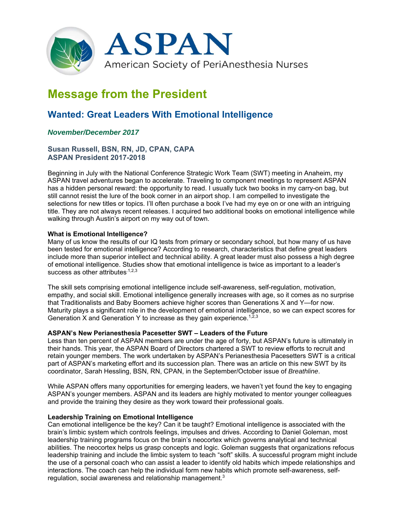

# **Message from the President**

## **Wanted: Great Leaders With Emotional Intelligence**

### *November/December 2017*

#### **Susan Russell, BSN, RN, JD, CPAN, CAPA ASPAN President 2017-2018**

Beginning in July with the National Conference Strategic Work Team (SWT) meeting in Anaheim, my ASPAN travel adventures began to accelerate. Traveling to component meetings to represent ASPAN has a hidden personal reward: the opportunity to read. I usually tuck two books in my carry-on bag, but still cannot resist the lure of the book corner in an airport shop. I am compelled to investigate the selections for new titles or topics. I'll often purchase a book I've had my eye on or one with an intriguing title. They are not always recent releases. I acquired two additional books on emotional intelligence while walking through Austin's airport on my way out of town.

#### **What is Emotional Intelligence?**

Many of us know the results of our IQ tests from primary or secondary school, but how many of us have been tested for emotional intelligence? According to research, characteristics that define great leaders include more than superior intellect and technical ability. A great leader must also possess a high degree of emotional intelligence. Studies show that emotional intelligence is twice as important to a leader's success as other attributes. $1,2,3$ 

The skill sets comprising emotional intelligence include self-awareness, self-regulation, motivation, empathy, and social skill. Emotional intelligence generally increases with age, so it comes as no surprise that Traditionalists and Baby Boomers achieve higher scores than Generations X and Y—for now. Maturity plays a significant role in the development of emotional intelligence, so we can expect scores for Generation X and Generation Y to increase as they gain experience.<sup>1, $\bar{z}$ , $3$ </sup>

#### **ASPAN's New Perianesthesia Pacesetter SWT – Leaders of the Future**

Less than ten percent of ASPAN members are under the age of forty, but ASPAN's future is ultimately in their hands. This year, the ASPAN Board of Directors chartered a SWT to review efforts to recruit and retain younger members. The work undertaken by ASPAN's Perianesthesia Pacesetters SWT is a critical part of ASPAN's marketing effort and its succession plan. There was an article on this new SWT by its coordinator, Sarah Hessling, BSN, RN, CPAN, in the September/October issue of *Breathline*.

While ASPAN offers many opportunities for emerging leaders, we haven't yet found the key to engaging ASPAN's younger members. ASPAN and its leaders are highly motivated to mentor younger colleagues and provide the training they desire as they work toward their professional goals.

#### **Leadership Training on Emotional Intelligence**

Can emotional intelligence be the key? Can it be taught? Emotional intelligence is associated with the brain's limbic system which controls feelings, impulses and drives. According to Daniel Goleman, most leadership training programs focus on the brain's neocortex which governs analytical and technical abilities. The neocortex helps us grasp concepts and logic. Goleman suggests that organizations refocus leadership training and include the limbic system to teach "soft" skills. A successful program might include the use of a personal coach who can assist a leader to identify old habits which impede relationships and interactions. The coach can help the individual form new habits which promote self-awareness, selfregulation, social awareness and relationship management.3